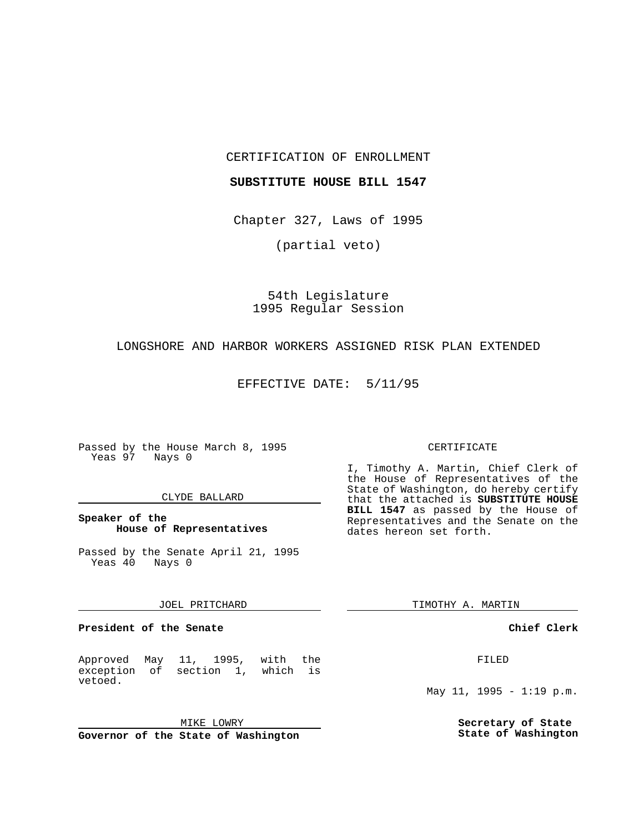CERTIFICATION OF ENROLLMENT

## **SUBSTITUTE HOUSE BILL 1547**

Chapter 327, Laws of 1995

(partial veto)

54th Legislature 1995 Regular Session

# LONGSHORE AND HARBOR WORKERS ASSIGNED RISK PLAN EXTENDED

### EFFECTIVE DATE: 5/11/95

Passed by the House March 8, 1995 Yeas 97 Nays 0

### CLYDE BALLARD

# **Speaker of the House of Representatives**

Passed by the Senate April 21, 1995 Yeas 40 Nays 0

#### JOEL PRITCHARD

**President of the Senate**

Approved May 11, 1995, with the exception of section 1, which is vetoed.

MIKE LOWRY

**Governor of the State of Washington**

#### CERTIFICATE

I, Timothy A. Martin, Chief Clerk of the House of Representatives of the State of Washington, do hereby certify that the attached is **SUBSTITUTE HOUSE BILL 1547** as passed by the House of Representatives and the Senate on the dates hereon set forth.

TIMOTHY A. MARTIN

### **Chief Clerk**

FILED

May 11, 1995 - 1:19 p.m.

**Secretary of State State of Washington**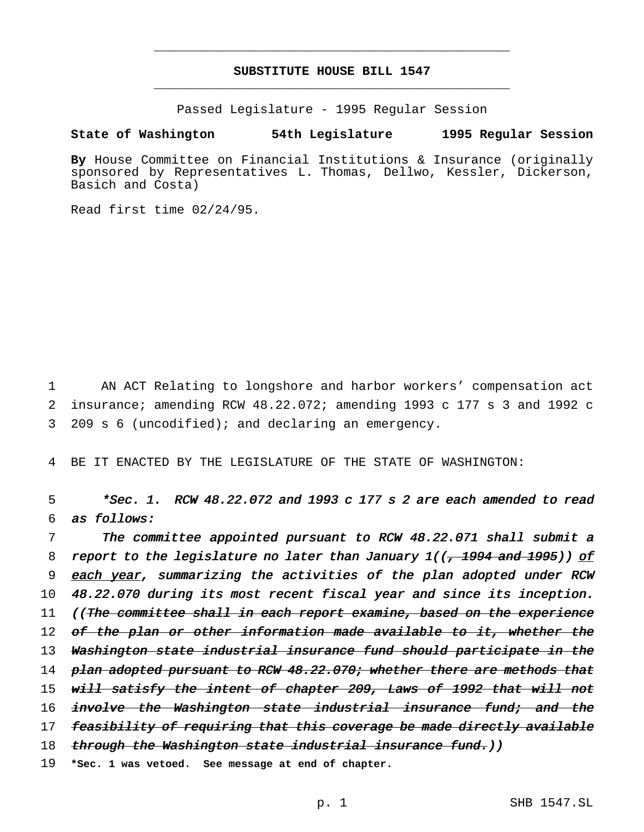# **SUBSTITUTE HOUSE BILL 1547** \_\_\_\_\_\_\_\_\_\_\_\_\_\_\_\_\_\_\_\_\_\_\_\_\_\_\_\_\_\_\_\_\_\_\_\_\_\_\_\_\_\_\_\_\_\_\_

\_\_\_\_\_\_\_\_\_\_\_\_\_\_\_\_\_\_\_\_\_\_\_\_\_\_\_\_\_\_\_\_\_\_\_\_\_\_\_\_\_\_\_\_\_\_\_

Passed Legislature - 1995 Regular Session

### **State of Washington 54th Legislature 1995 Regular Session**

**By** House Committee on Financial Institutions & Insurance (originally sponsored by Representatives L. Thomas, Dellwo, Kessler, Dickerson, Basich and Costa)

Read first time 02/24/95.

1 AN ACT Relating to longshore and harbor workers' compensation act 2 insurance; amending RCW 48.22.072; amending 1993 c 177 s 3 and 1992 c 3 209 s 6 (uncodified); and declaring an emergency.

4 BE IT ENACTED BY THE LEGISLATURE OF THE STATE OF WASHINGTON:

5 \*Sec. 1. RCW 48.22.072 and <sup>1993</sup> <sup>c</sup> <sup>177</sup> <sup>s</sup> <sup>2</sup> are each amended to read 6 as follows:

7 The committee appointed pursuant to RCW 48.22.071 shall submit <sup>a</sup> 8 report to the legislature no later than January  $1/(\frac{1}{2} + 1994$  and  $1995)$ ) of 9 each year, summarizing the activities of the plan adopted under RCW 10 48.22.070 during its most recent fiscal year and since its inception. 11 ((The committee shall in each report examine, based on the experience 12 of the plan or other information made available to it, whether the 13 Washington state industrial insurance fund should participate in the 14 plan adopted pursuant to RCW 48.22.070; whether there are methods that 15 w<del>ill satisfy the intent of chapter 209, Laws of 1992 that will not</del> 16 involve the Washington state industrial insurance fund; and the 17 feasibility of requiring that this coverage be made directly available 18 through the Washington state industrial insurance fund.)) 19 **\*Sec. 1 was vetoed. See message at end of chapter.**